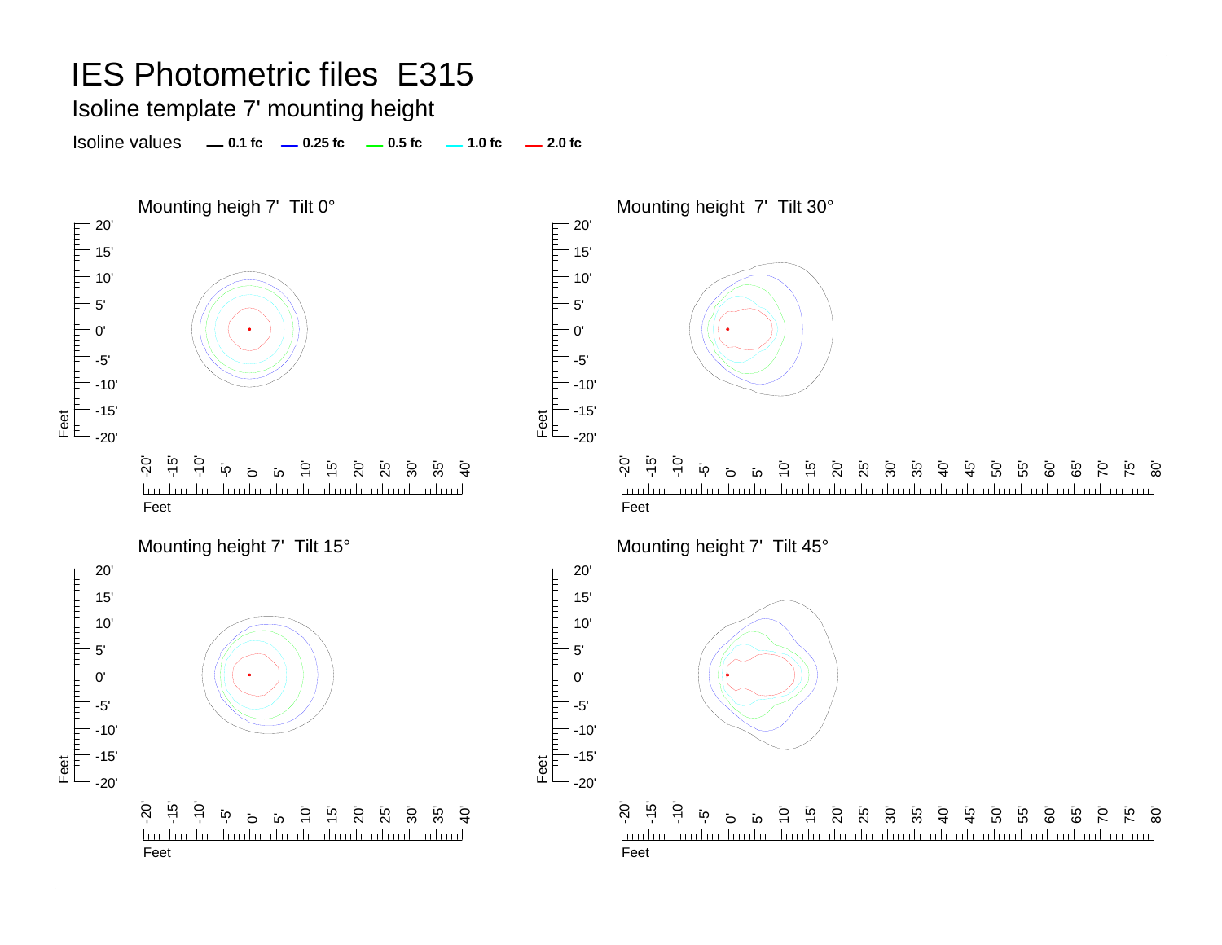Isoline template 7' mounting height

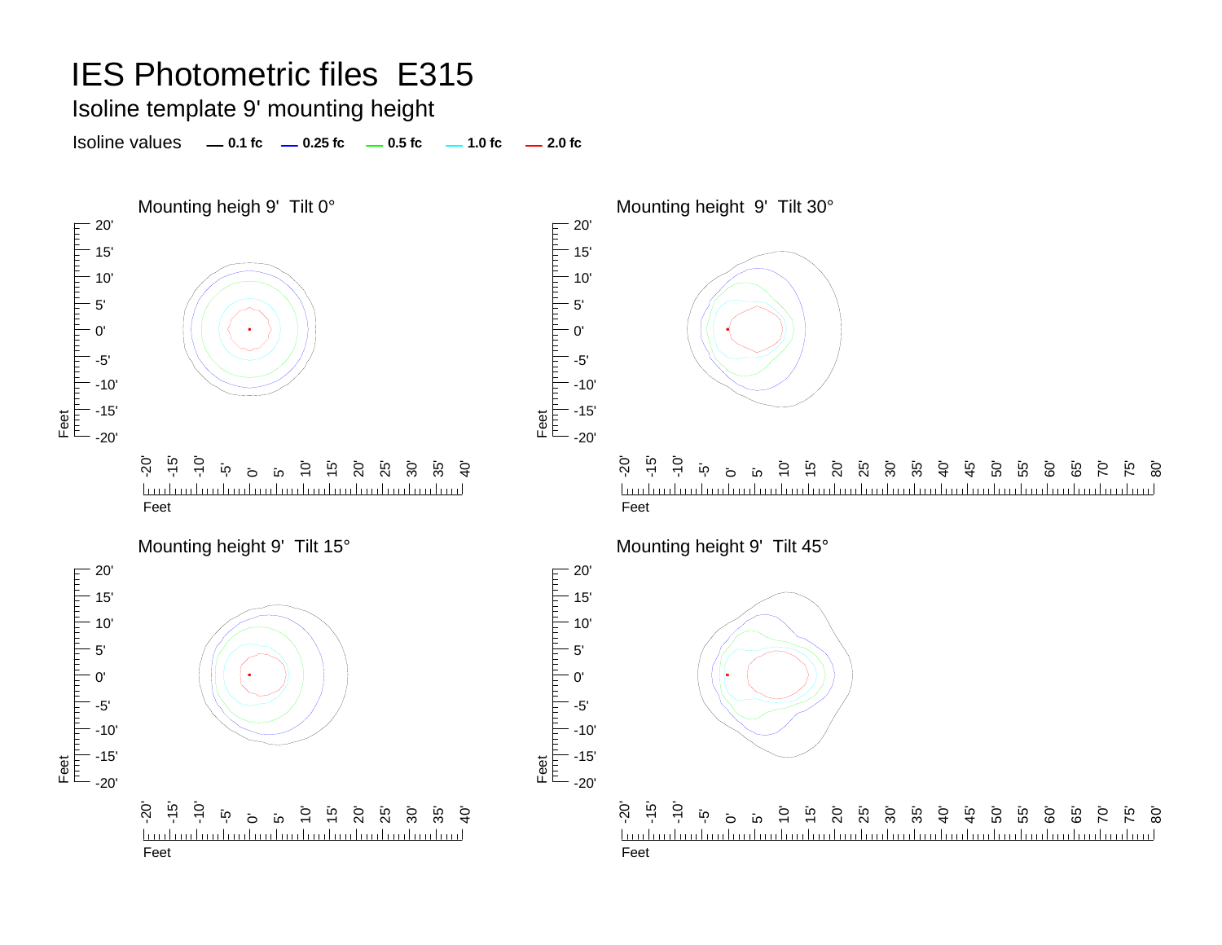Isoline template 9' mounting height

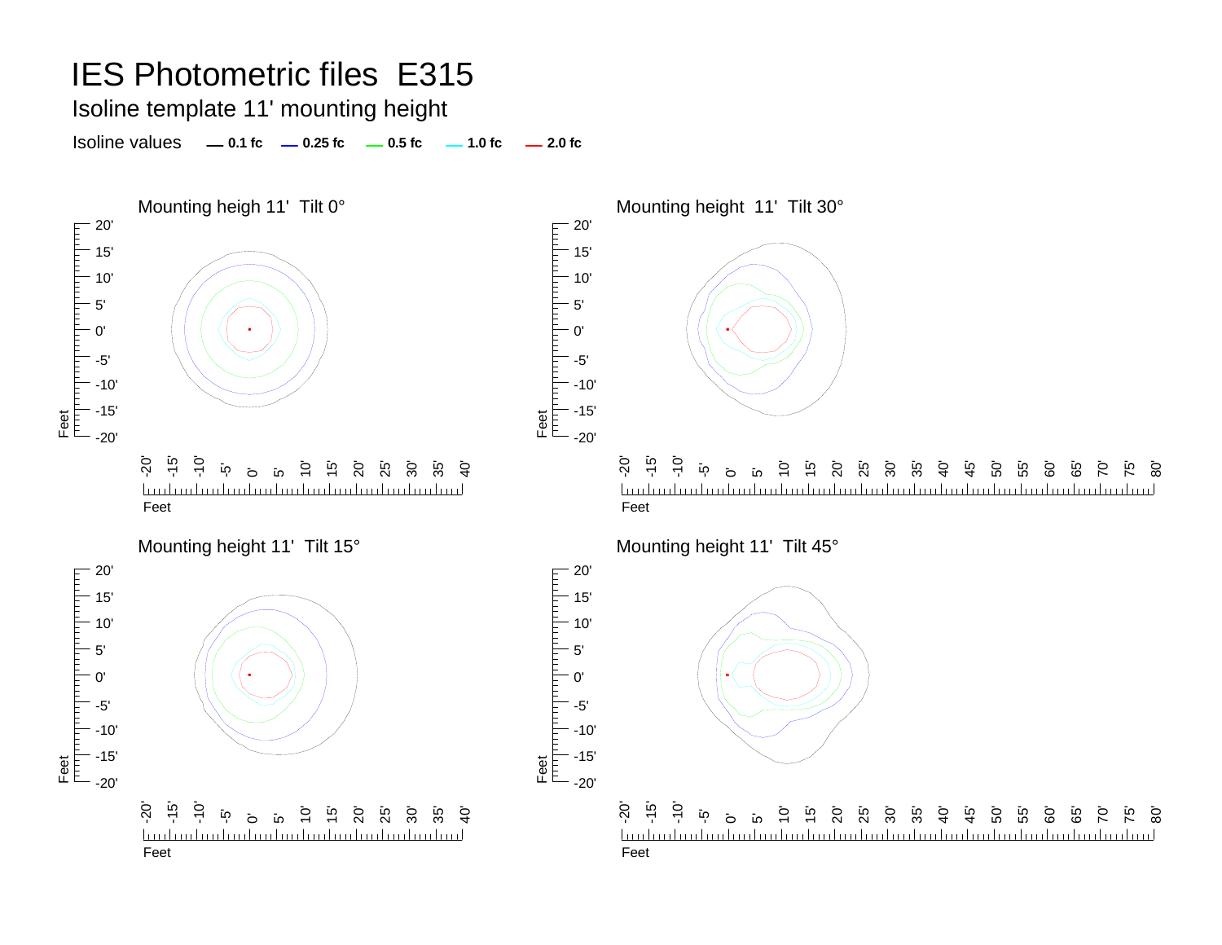Isoline template 11' mounting height

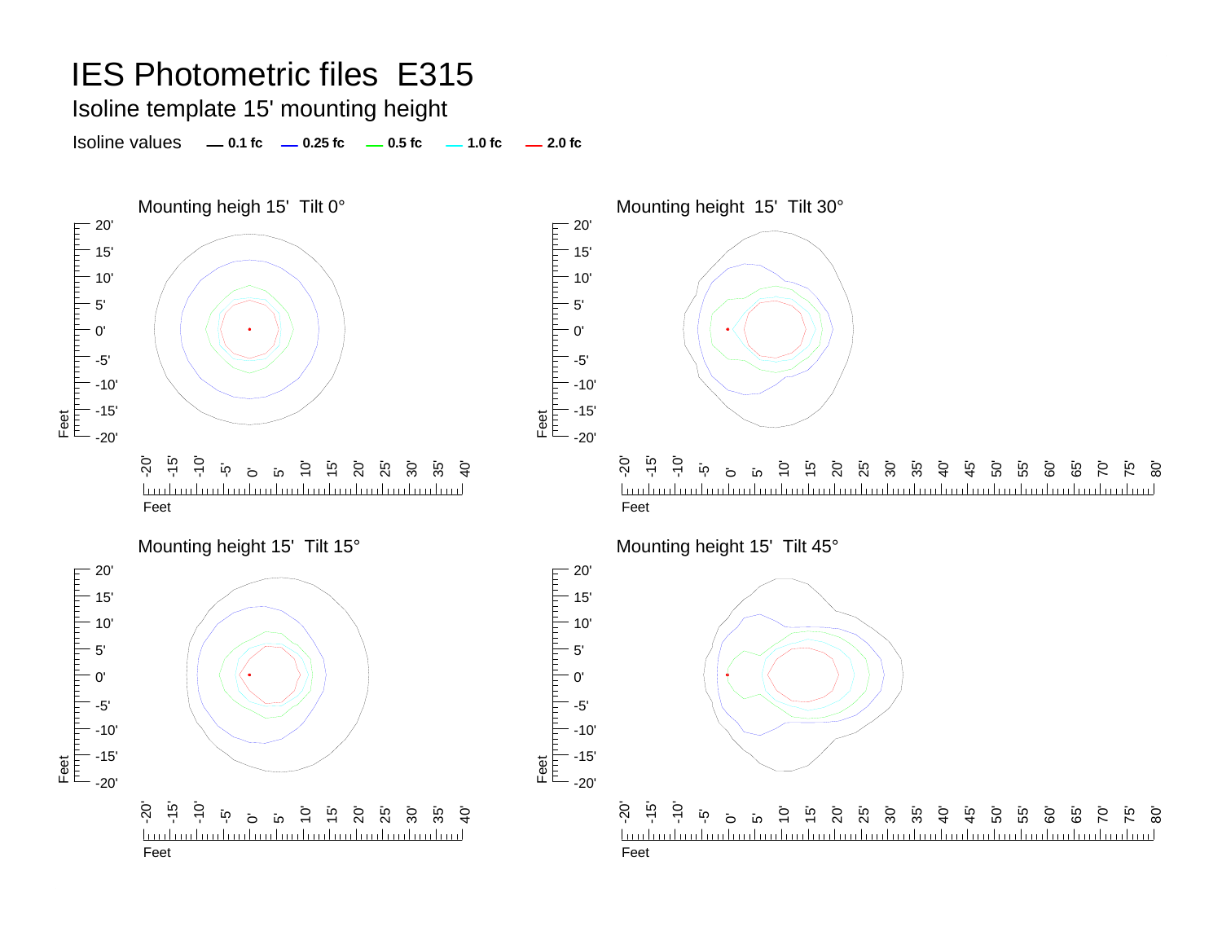Isoline template 15' mounting height

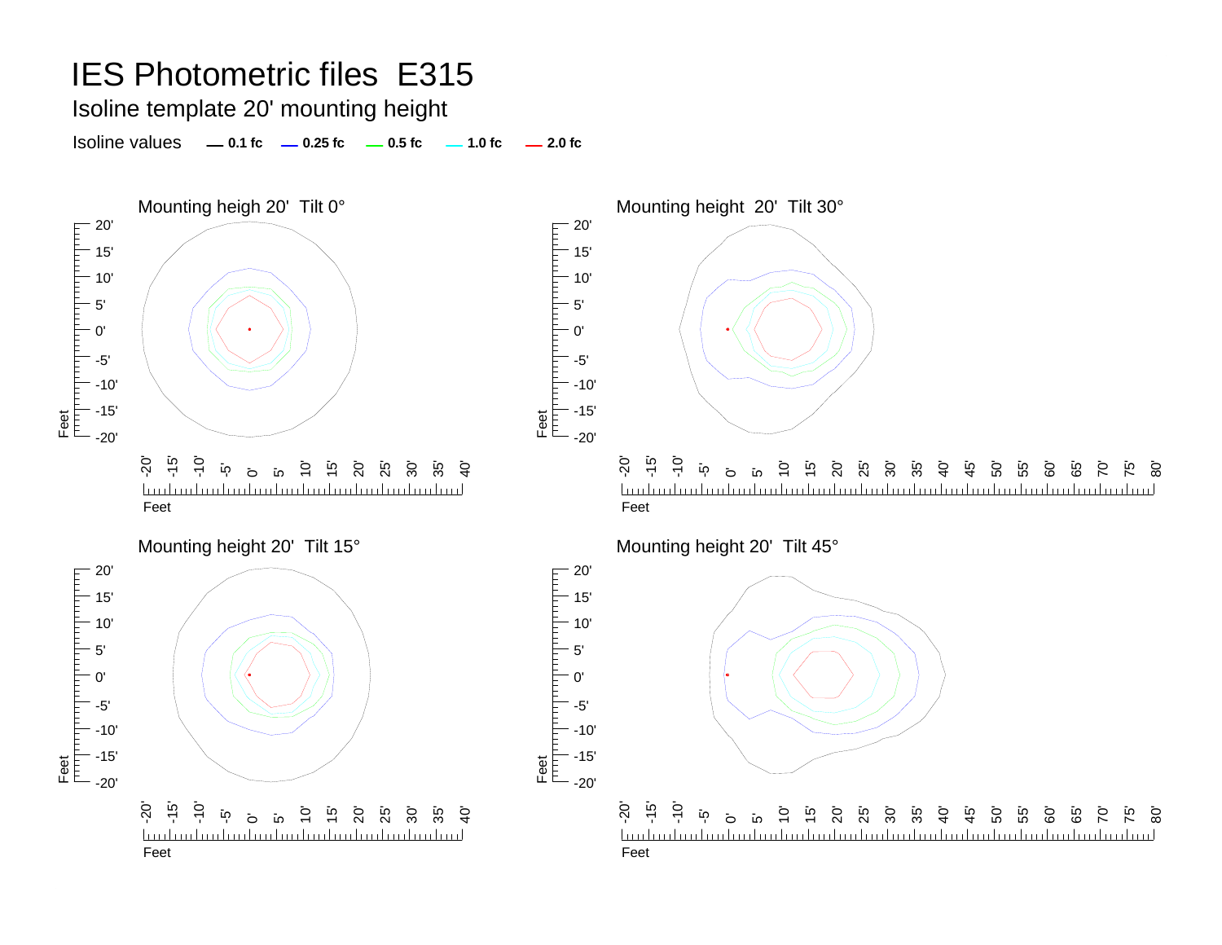Isoline template 20' mounting height

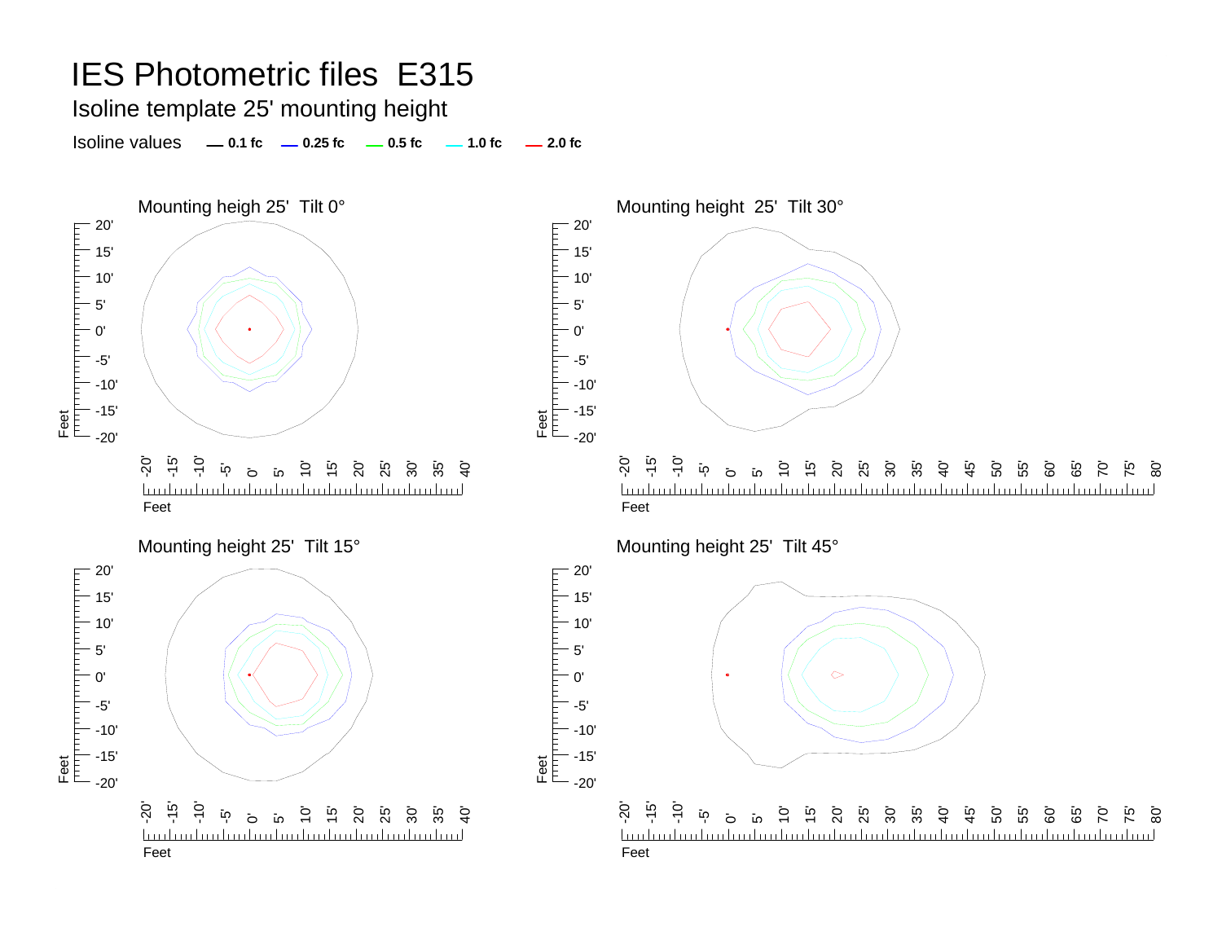Isoline template 25' mounting height

Isoline values **0.1 fc 0.25 fc 0.5 fc 2.0 fc 1.0 fc**





5' 0'

20' 15' 10' 5' 0'

гранита

-5'